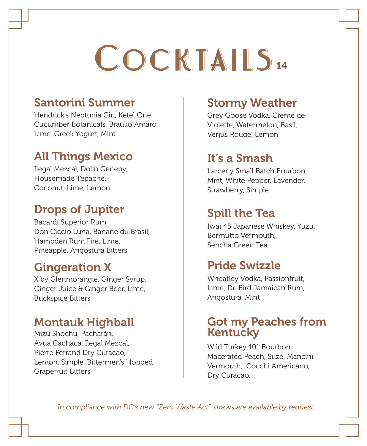# COCKTAILS14

#### Santorini Summer

Hendrick's Neptunia Gin, Ketel One Cucumber Botanicals, Braulio Amaro, Lime, Greek Yogurt, Mint

#### All Things Mexico

Ilegal Mezcal, Dolin Genepy, Housemade Tepache, Coconut, Lime, Lemon

#### Drops of Jupiter

Bacardí Superior Rum, Don Ciccio Luna, Banane du Brasil, Hampden Rum Fire, Lime, Pineapple, Angostura Bitters

#### Gingeration X

X by Glenmorangie, Ginger Syrup, Ginger Juice & Ginger Beer, Lime, Buckspice Bitters

#### Montauk Highball

Mizu Shochu, Pacharán, Avua Cachaca, Ilegal Mezcal, Pierre Ferrand Dry Curacao, Lemon, Simple, Bittermen's Hopped Grapefruit Bitters

#### Stormy Weather

Grey Goose Vodka, Creme de Violette, Watermelon, Basil, Verjus Rouge, Lemon

#### It's a Smash

Larceny Small Batch Bourbon, Mint, White Pepper, Lavender, Strawberry, Simple

#### Spill the Tea

Iwai 45 Japanese Whiskey, Yuzu, Bermutto Vermouth, Sencha Green Tea

#### Pride Swizzle

Wheatley Vodka, Passionfruit, Lime, Dr. Bird Jamaican Rum, Angostura, Mint

#### Got my Peaches from Kentucky

Wild Turkey 101 Bourbon, Macerated Peach, Suze, Mancini Vermouth, Cocchi Americano, Dry Curacao,

*In compliance with DC's new "Zero Waste Act", straws are available by request.*